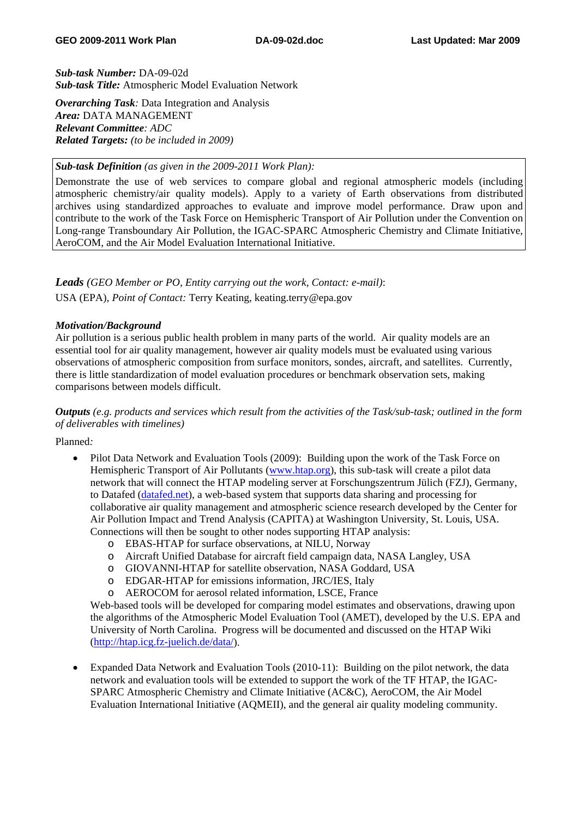*Sub-task Number:* DA-09-02d *Sub-task Title:* Atmospheric Model Evaluation Network

*Overarching Task:* Data Integration and Analysis *Area:* DATA MANAGEMENT *Relevant Committee: ADC Related Targets: (to be included in 2009)* 

## *Sub-task Definition (as given in the 2009-2011 Work Plan):*

Demonstrate the use of web services to compare global and regional atmospheric models (including atmospheric chemistry/air quality models). Apply to a variety of Earth observations from distributed archives using standardized approaches to evaluate and improve model performance. Draw upon and contribute to the work of the Task Force on Hemispheric Transport of Air Pollution under the Convention on Long-range Transboundary Air Pollution, the IGAC-SPARC Atmospheric Chemistry and Climate Initiative, AeroCOM, and the Air Model Evaluation International Initiative.

# *Leads (GEO Member or PO, Entity carrying out the work, Contact: e-mail)*: USA (EPA), *Point of Contact:* Terry Keating, keating.terry@epa.gov

#### *Motivation/Background*

Air pollution is a serious public health problem in many parts of the world. Air quality models are an essential tool for air quality management, however air quality models must be evaluated using various observations of atmospheric composition from surface monitors, sondes, aircraft, and satellites. Currently, there is little standardization of model evaluation procedures or benchmark observation sets, making comparisons between models difficult.

*Outputs (e.g. products and services which result from the activities of the Task/sub-task; outlined in the form of deliverables with timelines)* 

Planned*:* 

- Pilot Data Network and Evaluation Tools (2009): Building upon the work of the Task Force on Hemispheric Transport of Air Pollutants [\(www.htap.org](http://www.htap.org/)), this sub-task will create a pilot data network that will connect the HTAP modeling server at Forschungszentrum Jülich (FZJ), Germany, to Datafed ([datafed.net](http://datafed.net/)), a web-based system that supports data sharing and processing for collaborative air quality management and atmospheric science research developed by the Center for Air Pollution Impact and Trend Analysis (CAPITA) at Washington University, St. Louis, USA. Connections will then be sought to other nodes supporting HTAP analysis:
	- o EBAS-HTAP for surface observations, at NILU, Norway
	- o Aircraft Unified Database for aircraft field campaign data, NASA Langley, USA
	- o GIOVANNI-HTAP for satellite observation, NASA Goddard, USA
	- o EDGAR-HTAP for emissions information, JRC/IES, Italy
	- o AEROCOM for aerosol related information, LSCE, France

Web-based tools will be developed for comparing model estimates and observations, drawing upon the algorithms of the Atmospheric Model Evaluation Tool (AMET), developed by the U.S. EPA and University of North Carolina. Progress will be documented and discussed on the HTAP Wiki (<http://htap.icg.fz-juelich.de/data/>).

• Expanded Data Network and Evaluation Tools (2010-11): Building on the pilot network, the data network and evaluation tools will be extended to support the work of the TF HTAP, the IGAC-SPARC Atmospheric Chemistry and Climate Initiative (AC&C), AeroCOM, the Air Model Evaluation International Initiative (AQMEII), and the general air quality modeling community.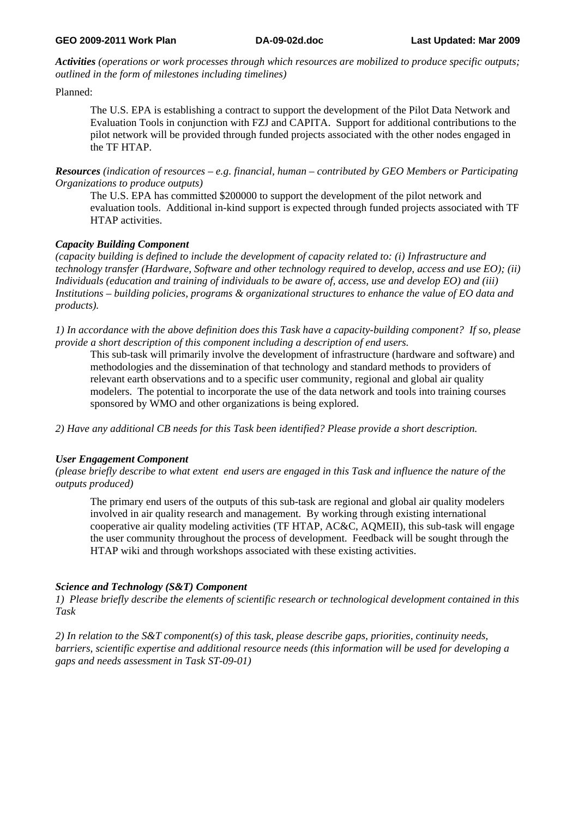*Activities (operations or work processes through which resources are mobilized to produce specific outputs; outlined in the form of milestones including timelines)* 

Planned:

The U.S. EPA is establishing a contract to support the development of the Pilot Data Network and Evaluation Tools in conjunction with FZJ and CAPITA. Support for additional contributions to the pilot network will be provided through funded projects associated with the other nodes engaged in the TF HTAP.

*Resources (indication of resources – e.g. financial, human – contributed by GEO Members or Participating Organizations to produce outputs)* 

The U.S. EPA has committed \$200000 to support the development of the pilot network and evaluation tools. Additional in-kind support is expected through funded projects associated with TF HTAP activities.

## *Capacity Building Component*

*(capacity building is defined to include the development of capacity related to: (i) Infrastructure and technology transfer (Hardware, Software and other technology required to develop, access and use EO); (ii) Individuals (education and training of individuals to be aware of, access, use and develop EO) and (iii) Institutions – building policies, programs & organizational structures to enhance the value of EO data and products).* 

*1) In accordance with the above definition does this Task have a capacity-building component? If so, please provide a short description of this component including a description of end users.* 

This sub-task will primarily involve the development of infrastructure (hardware and software) and methodologies and the dissemination of that technology and standard methods to providers of relevant earth observations and to a specific user community, regional and global air quality modelers. The potential to incorporate the use of the data network and tools into training courses sponsored by WMO and other organizations is being explored.

*2) Have any additional CB needs for this Task been identified? Please provide a short description.* 

## *User Engagement Component*

*(please briefly describe to what extent end users are engaged in this Task and influence the nature of the outputs produced)* 

The primary end users of the outputs of this sub-task are regional and global air quality modelers involved in air quality research and management. By working through existing international cooperative air quality modeling activities (TF HTAP, AC&C, AQMEII), this sub-task will engage the user community throughout the process of development. Feedback will be sought through the HTAP wiki and through workshops associated with these existing activities.

## *Science and Technology (S&T) Component*

*1) Please briefly describe the elements of scientific research or technological development contained in this Task* 

*2) In relation to the S&T component(s) of this task, please describe gaps, priorities, continuity needs, barriers, scientific expertise and additional resource needs (this information will be used for developing a gaps and needs assessment in Task ST-09-01)*